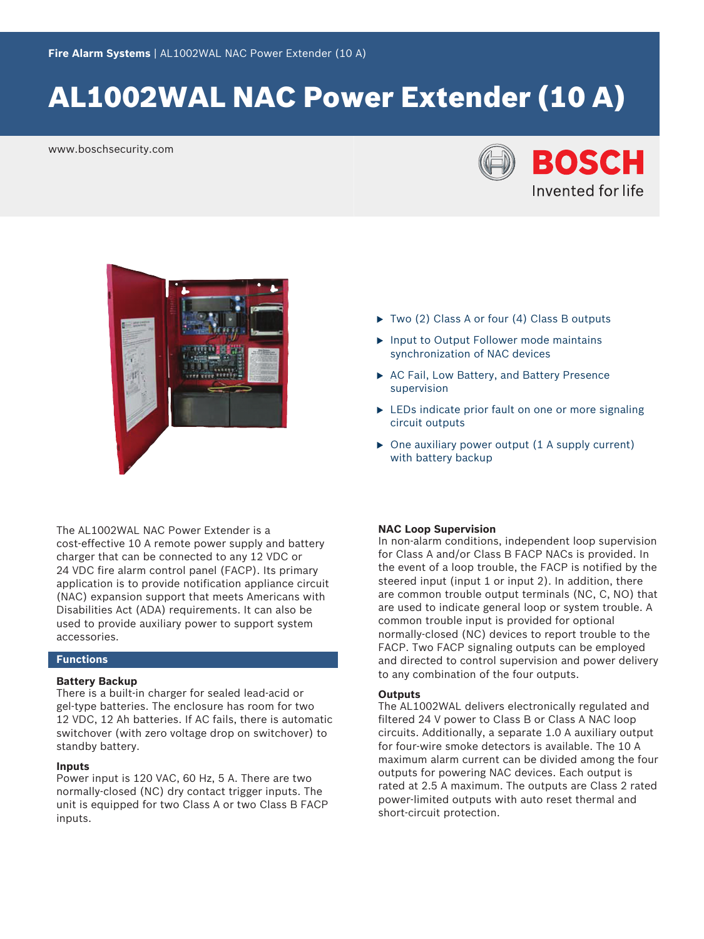# AL1002WAL NAC Power Extender (10 A)

www.boschsecurity.com





The AL1002WAL NAC Power Extender is a cost-effective 10 A remote power supply and battery charger that can be connected to any 12 VDC or 24 VDC fire alarm control panel (FACP). Its primary application is to provide notification appliance circuit (NAC) expansion support that meets Americans with Disabilities Act (ADA) requirements. It can also be used to provide auxiliary power to support system accessories.

### **Functions**

#### **Battery Backup**

There is a built-in charger for sealed lead-acid or gel-type batteries. The enclosure has room for two 12 VDC, 12 Ah batteries. If AC fails, there is automatic switchover (with zero voltage drop on switchover) to standby battery.

#### **Inputs**

Power input is 120 VAC, 60 Hz, 5 A. There are two normally‑closed (NC) dry contact trigger inputs. The unit is equipped for two Class A or two Class B FACP inputs.

- $\triangleright$  Two (2) Class A or four (4) Class B outputs
- $\blacktriangleright$  Input to Output Follower mode maintains synchronization of NAC devices
- $\triangleright$  AC Fail, Low Battery, and Battery Presence supervision
- $\triangleright$  LEDs indicate prior fault on one or more signaling circuit outputs
- $\triangleright$  One auxiliary power output (1 A supply current) with battery backup

#### **NAC Loop Supervision**

In non‑alarm conditions, independent loop supervision for Class A and/or Class B FACP NACs is provided. In the event of a loop trouble, the FACP is notified by the steered input (input 1 or input 2). In addition, there are common trouble output terminals (NC, C, NO) that are used to indicate general loop or system trouble. A common trouble input is provided for optional normally‑closed (NC) devices to report trouble to the FACP. Two FACP signaling outputs can be employed and directed to control supervision and power delivery to any combination of the four outputs.

### **Outputs**

The AL1002WAL delivers electronically regulated and filtered 24 V power to Class B or Class A NAC loop circuits. Additionally, a separate 1.0 A auxiliary output for four-wire smoke detectors is available. The 10 A maximum alarm current can be divided among the four outputs for powering NAC devices. Each output is rated at 2.5 A maximum. The outputs are Class 2 rated power-limited outputs with auto reset thermal and short-circuit protection.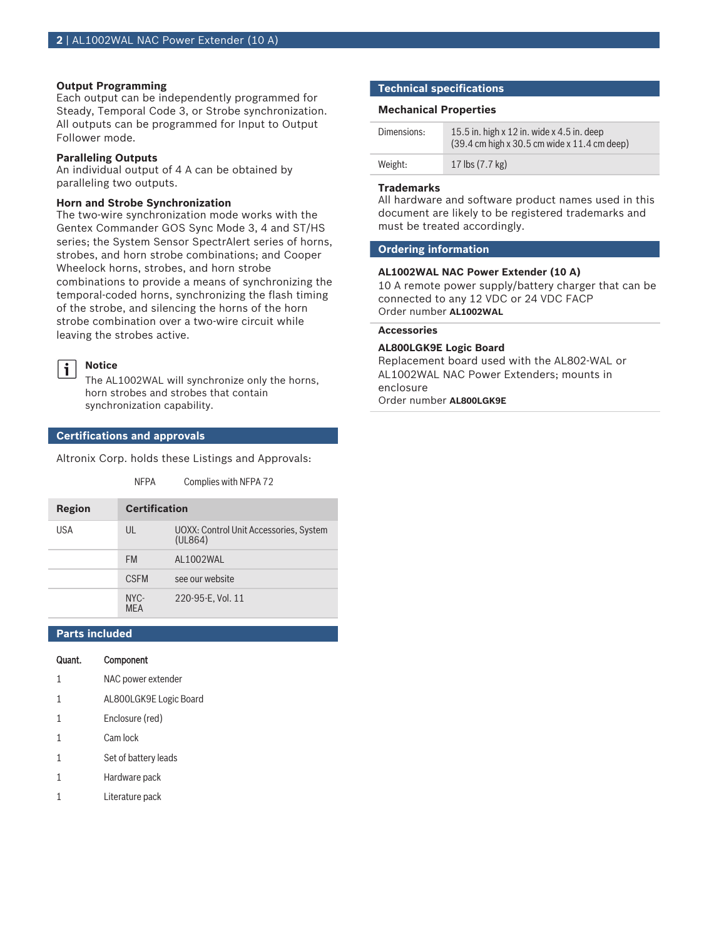#### **Output Programming**

Each output can be independently programmed for Steady, Temporal Code 3, or Strobe synchronization. All outputs can be programmed for Input to Output Follower mode.

#### **Paralleling Outputs**

An individual output of 4 A can be obtained by paralleling two outputs.

#### **Horn and Strobe Synchronization**

The two-wire synchronization mode works with the Gentex Commander GOS Sync Mode 3, 4 and ST/HS series; the System Sensor SpectrAlert series of horns, strobes, and horn strobe combinations; and Cooper Wheelock horns, strobes, and horn strobe combinations to provide a means of synchronizing the temporal-coded horns, synchronizing the flash timing of the strobe, and silencing the horns of the horn strobe combination over a two-wire circuit while leaving the strobes active.

#### **Notice**  $\mathbf i$

The AL1002WAL will synchronize only the horns, horn strobes and strobes that contain synchronization capability.

NFPA Complies with NFPA 72

#### **Certifications and approvals**

Altronix Corp. holds these Listings and Approvals:

| <b>Region</b> | <b>Certification</b> |                                                   |
|---------------|----------------------|---------------------------------------------------|
| USA           | UL                   | UOXX: Control Unit Accessories, System<br>(UL864) |
|               | <b>FM</b>            | AL1002WAL                                         |
|               | <b>CSEM</b>          | see our website                                   |
|               | NYC-<br>MFΔ          | 220-95-E, Vol. 11                                 |

### **Parts included**

## Quant. Component

- 1 NAC power extender
- 1 AL800LGK9E Logic Board
- 1 Enclosure (red)
- 1 Cam lock
- 1 Set of battery leads
- 1 Hardware pack
- 1 Literature pack

#### **Technical specifications**

#### **Mechanical Properties**

| Dimensions: | 15.5 in. high $x$ 12 in. wide $x$ 4.5 in. deep<br>$(39.4 \text{ cm} \text{ high} \times 30.5 \text{ cm} \text{ wide} \times 11.4 \text{ cm} \text{ deep})$ |
|-------------|------------------------------------------------------------------------------------------------------------------------------------------------------------|
| Weight:     | 17 lbs $(7.7 \text{ kg})$                                                                                                                                  |

#### **Trademarks**

All hardware and software product names used in this document are likely to be registered trademarks and must be treated accordingly.

#### **Ordering information**

#### **AL1002WAL NAC Power Extender (10 A)**

10 A remote power supply/battery charger that can be connected to any 12 VDC or 24 VDC FACP Order number **AL1002WAL**

### **Accessories**

#### **AL800LGK9E Logic Board**

Replacement board used with the AL802‑WAL or AL1002WAL NAC Power Extenders; mounts in enclosure

Order number **AL800LGK9E**